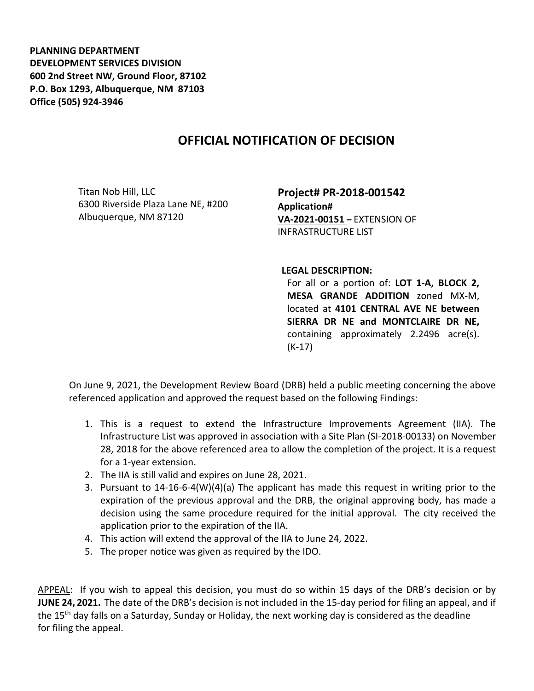**PLANNING DEPARTMENT DEVELOPMENT SERVICES DIVISION 600 2nd Street NW, Ground Floor, 87102 P.O. Box 1293, Albuquerque, NM 87103 Office (505) 924-3946** 

## **OFFICIAL NOTIFICATION OF DECISION**

Titan Nob Hill, LLC 6300 Riverside Plaza Lane NE, #200 Albuquerque, NM 87120

**Project# PR-2018-001542 Application# VA-2021-00151 –** EXTENSION OF INFRASTRUCTURE LIST

**LEGAL DESCRIPTION:**

For all or a portion of: **LOT 1-A, BLOCK 2, MESA GRANDE ADDITION** zoned MX-M, located at **4101 CENTRAL AVE NE between SIERRA DR NE and MONTCLAIRE DR NE,**  containing approximately 2.2496 acre(s). (K-17)

On June 9, 2021, the Development Review Board (DRB) held a public meeting concerning the above referenced application and approved the request based on the following Findings:

- 1. This is a request to extend the Infrastructure Improvements Agreement (IIA). The Infrastructure List was approved in association with a Site Plan (SI-2018-00133) on November 28, 2018 for the above referenced area to allow the completion of the project. It is a request for a 1-year extension.
- 2. The IIA is still valid and expires on June 28, 2021.
- 3. Pursuant to 14-16-6-4(W)(4)(a) The applicant has made this request in writing prior to the expiration of the previous approval and the DRB, the original approving body, has made a decision using the same procedure required for the initial approval. The city received the application prior to the expiration of the IIA.
- 4. This action will extend the approval of the IIA to June 24, 2022.
- 5. The proper notice was given as required by the IDO.

APPEAL: If you wish to appeal this decision, you must do so within 15 days of the DRB's decision or by **JUNE 24, 2021.** The date of the DRB's decision is not included in the 15-day period for filing an appeal, and if the 15<sup>th</sup> day falls on a Saturday, Sunday or Holiday, the next working day is considered as the deadline for filing the appeal.